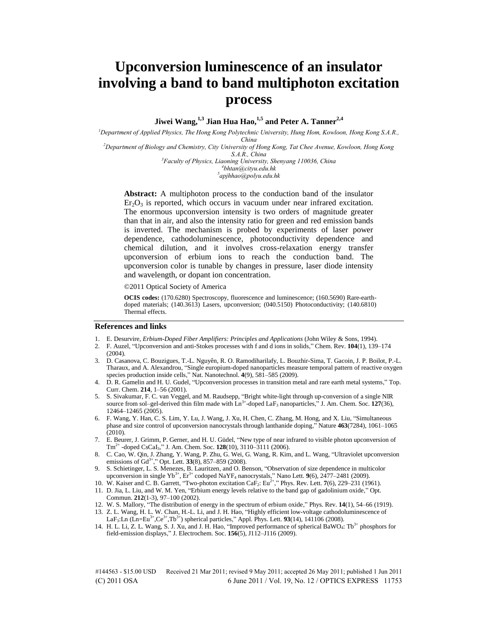# **Upconversion luminescence of an insulator involving a band to band multiphoton excitation process**

**Jiwei Wang,1,3 Jian Hua Hao, 1,5 and Peter A. Tanner2,4**

*<sup>1</sup>Department of Applied Physics, The Hong Kong Polytechnic University, Hung Hom, Kowloon, Hong Kong S.A.R., China* 

*<sup>2</sup>Department of Biology and Chemistry, City University of Hong Kong, Tat Chee Avenue, Kowloon, Hong Kong S.A.R., China* 

*<sup>3</sup>Faculty of Physics, Liaoning University, Shenyang 110036, China 4 bhtan@cityu.edu.hk* 

*5 apjhhao@polyu.edu.hk* 

**Abstract:** A multiphoton process to the conduction band of the insulator  $Er<sub>2</sub>O<sub>3</sub>$  is reported, which occurs in vacuum under near infrared excitation. The enormous upconversion intensity is two orders of magnitude greater than that in air, and also the intensity ratio for green and red emission bands is inverted. The mechanism is probed by experiments of laser power dependence, cathodoluminescence, photoconductivity dependence and chemical dilution, and it involves cross-relaxation energy transfer upconversion of erbium ions to reach the conduction band. The upconversion color is tunable by changes in pressure, laser diode intensity and wavelength, or dopant ion concentration.

©2011 Optical Society of America

**OCIS codes:** (170.6280) Spectroscopy, fluorescence and luminescence; (160.5690) Rare-earthdoped materials; (140.3613) Lasers, upconversion; (040.5150) Photoconductivity; (140.6810) Thermal effects.

#### **References and links**

- 1. E. Desurvire, *Erbium-Doped Fiber Amplifiers: Principles and Applications* (John Wiley & Sons, 1994).
- 2. F. Auzel, "Upconversion and anti-Stokes processes with f and d ions in solids," Chem. Rev. **104**(1), 139–174 (2004).
- 3. D. Casanova, C. Bouzigues, T.-L. Nguyên, R. O. Ramodiharilafy, L. Bouzhir-Sima, T. Gacoin, J. P. Boilot, P.-L. Tharaux, and A. Alexandrou, "Single europium-doped nanoparticles measure temporal pattern of reactive oxygen species production inside cells," Nat. Nanotechnol. **4**(9), 581–585 (2009).
- 4. D. R. Gamelin and H. U. Gudel, "Upconversion processes in transition metal and rare earth metal systems," Top. Curr. Chem. **214**, 1–56 (2001).
- 5. S. Sivakumar, F. C. van Veggel, and M. Raudsepp, "Bright white-light through up-conversion of a single NIR source from sol–gel-derived thin film made with  $\text{Ln}^{3+}$ -doped  $\text{LaF}_3$  nanoparticles," J. Am. Chem. Soc. 127(36), 12464–12465 (2005).
- 6. F. Wang, Y. Han, C. S. Lim, Y. Lu, J. Wang, J. Xu, H. Chen, C. Zhang, M. Hong, and X. Liu, "Simultaneous phase and size control of upconversion nanocrystals through lanthanide doping," Nature **463**(7284), 1061–1065 (2010).
- 7. E. Beurer, J. Grimm, P. Gerner, and H. U. Güdel, "New type of near infrared to visible photon upconversion of Tm2+ -doped CsCaI3," J. Am. Chem. Soc. **128**(10), 3110–3111 (2006).
- 8. C. Cao, W. Qin, J. Zhang, Y. Wang, P. Zhu, G. Wei, G. Wang, R. Kim, and L. Wang, "Ultraviolet upconversion emissions of Gd<sup>3+</sup>," Opt. Lett. **33**(8), 857–859 (2008).
- 9. S. Schietinger, L. S. Menezes, B. Lauritzen, and O. Benson, "Observation of size dependence in multicolor upconversion in single Yb<sup>3+</sup>, Er<sup>3+</sup> codoped NaYF<sub>4</sub> nanocrystals," Nano Lett. **9**(6), 2477–2481 (2009).
- 10. W. Kaiser and C. B. Garrett, "Two-photon excitation CaF2: Eu2+," Phys. Rev. Lett. **7**(6), 229–231 (1961).
- 11. D. Jia, L. Liu, and W. M. Yen, "Erbium energy levels relative to the band gap of gadolinium oxide," Opt. Commun. **212**(1-3), 97–100 (2002).
- 12. W. S. Mallory, "The distribution of energy in the spectrum of erbium oxide," Phys. Rev. **14**(1), 54–66 (1919).
- 13. Z. L. Wang, H. L. W. Chan, H.-L. Li, and J. H. Hao, "Highly efficient low-voltage cathodoluminescence of LaF<sub>3</sub>:Ln (Ln=Eu<sup>3+</sup>,Ce<sup>3+</sup>,Tb<sup>3+</sup>) spherical particles," Appl. Phys. Lett. **93**(14), 141106 (2008).
- 14. H. L. Li, Z. L. Wang, S. J. Xu, and J. H. Hao, "Improved performance of spherical BaWO<sub>4</sub>: Tb<sup>3+</sup> phosphors for field-emission displays," J. Electrochem. Soc. **156**(5), J112–J116 (2009).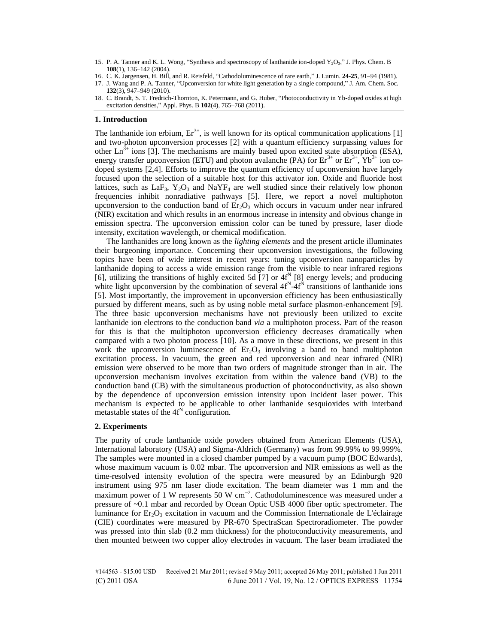15. P. A. Tanner and K. L. Wong, "Synthesis and spectroscopy of lanthanide ion-doped Y<sub>2</sub>O<sub>3</sub>," J. Phys. Chem. B **108**(1), 136–142 (2004).

17. J. Wang and P. A. Tanner, "Upconversion for white light generation by a single compound," J. Am. Chem. Soc. **132**(3), 947–949 (2010).

### **1. Introduction**

The lanthanide ion erbium,  $Er^{3+}$ , is well known for its optical communication applications [1] and two-photon upconversion processes [2] with a quantum efficiency surpassing values for other  $Ln^{3+}$  ions [3]. The mechanisms are mainly based upon excited state absorption (ESA), energy transfer upconversion (ETU) and photon avalanche (PA) for  $Er^{3+}$  or  $Er^{3+}$ ,  $Yb^{3+}$  ion codoped systems [2,4]. Efforts to improve the quantum efficiency of upconversion have largely focused upon the selection of a suitable host for this activator ion. Oxide and fluoride host lattices, such as  $LaF_3$ ,  $Y_2O_3$  and  $NaYF_4$  are well studied since their relatively low phonon frequencies inhibit nonradiative pathways [5]. Here, we report a novel multiphoton upconversion to the conduction band of  $Er<sub>2</sub>O<sub>3</sub>$  which occurs in vacuum under near infrared (NIR) excitation and which results in an enormous increase in intensity and obvious change in emission spectra. The upconversion emission color can be tuned by pressure, laser diode intensity, excitation wavelength, or chemical modification.

The lanthanides are long known as the *lighting elements* and the present article illuminates their burgeoning importance. Concerning their upconversion investigations, the following topics have been of wide interest in recent years: tuning upconversion nanoparticles by lanthanide doping to access a wide emission range from the visible to near infrared regions [6], utilizing the transitions of highly excited  $5d$  [7] or  $4f^N$  [8] energy levels; and producing white light upconversion by the combination of several  $4f^N - 4f^N$  transitions of lanthanide ions [5]. Most importantly, the improvement in upconversion efficiency has been enthusiastically pursued by different means, such as by using noble metal surface plasmon-enhancement [9]. The three basic upconversion mechanisms have not previously been utilized to excite lanthanide ion electrons to the conduction band *via* a multiphoton process. Part of the reason for this is that the multiphoton upconversion efficiency decreases dramatically when compared with a two photon process [10]. As a move in these directions, we present in this work the upconversion luminescence of  $E_7Q_3$  involving a band to band multiphoton excitation process. In vacuum, the green and red upconversion and near infrared (NIR) emission were observed to be more than two orders of magnitude stronger than in air. The upconversion mechanism involves excitation from within the valence band (VB) to the conduction band (CB) with the simultaneous production of photoconductivity, as also shown by the dependence of upconversion emission intensity upon incident laser power. This mechanism is expected to be applicable to other lanthanide sesquioxides with interband metastable states of the  $4f<sup>N</sup>$  configuration.

#### **2. Experiments**

The purity of crude lanthanide oxide powders obtained from American Elements (USA), International laboratory (USA) and Sigma-Aldrich (Germany) was from 99.99% to 99.999%. The samples were mounted in a closed chamber pumped by a vacuum pump (BOC Edwards), whose maximum vacuum is 0.02 mbar. The upconversion and NIR emissions as well as the time-resolved intensity evolution of the spectra were measured by an Edinburgh 920 instrument using 975 nm laser diode excitation. The beam diameter was 1 mm and the maximum power of 1 W represents 50 W  $cm^{-2}$ . Cathodoluminescence was measured under a pressure of ~0.1 mbar and recorded by Ocean Optic USB 4000 fiber optic spectrometer. The luminance for  $Er_2O_3$  excitation in vacuum and the Commission Internationale de L'éclairage (CIE) coordinates were measured by PR-670 SpectraScan Spectroradiometer. The powder was pressed into thin slab (0.2 mm thickness) for the photoconductivity measurements, and then mounted between two copper alloy electrodes in vacuum. The laser beam irradiated the

<sup>16.</sup> C. K. Jørgensen, H. Bill, and R. Reisfeld, "Cathodoluminescence of rare earth," J. Lumin. **24-25**, 91–94 (1981).

<sup>18.</sup> C. Brandt, S. T. Fredrich-Thornton, K. Petermann, and G. Huber, "Photoconductivity in Yb-doped oxides at high excitation densities," Appl. Phys. B **102**(4), 765–768 (2011).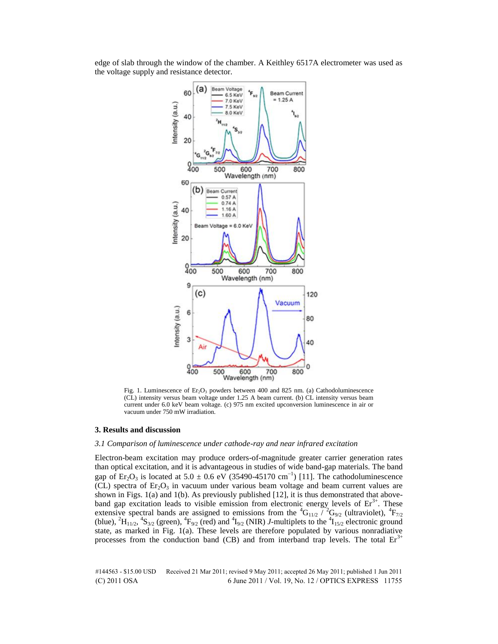edge of slab through the window of the chamber. A Keithley 6517A electrometer was used as the voltage supply and resistance detector.



Fig. 1. Luminescence of  $Er_2O_3$  powders between 400 and 825 nm. (a) Cathodoluminescence (CL) intensity versus beam voltage under 1.25 A beam current. (b) CL intensity versus beam current under 6.0 keV beam voltage. (c) 975 nm excited upconversion luminescence in air or vacuum under 750 mW irradiation.

#### **3. Results and discussion**

### *3.1 Comparison of luminescence under cathode-ray and near infrared excitation*

Electron-beam excitation may produce orders-of-magnitude greater carrier generation rates than optical excitation, and it is advantageous in studies of wide band-gap materials. The band gap of  $Er_2O_3$  is located at 5.0  $\pm$  0.6 eV (35490-45170 cm<sup>-1</sup>) [11]. The cathodoluminescence (CL) spectra of  $Er_2O_3$  in vacuum under various beam voltage and beam current values are shown in Figs.  $1(a)$  and  $1(b)$ . As previously published  $[12]$ , it is thus demonstrated that aboveband gap excitation leads to visible emission from electronic energy levels of  $Er<sup>3+</sup>$ . These extensive spectral bands are assigned to emissions from the  ${}^{4}G_{11/2}$  /  ${}^{2}G_{9/2}$  (ultraviolet),  ${}^{4}F_{7/2}$ (blue),  ${}^2H_{11/2}$ ,  ${}^4S_{3/2}$  (green),  ${}^4F_{9/2}$  (red) and  ${}^4I_{9/2}$  (NIR) *J*-multiplets to the  ${}^4I_{15/2}$  electronic ground state, as marked in Fig. 1(a). These levels are therefore populated by various nonradiative processes from the conduction band (CB) and from interband trap levels. The total  $Er<sup>3+</sup>$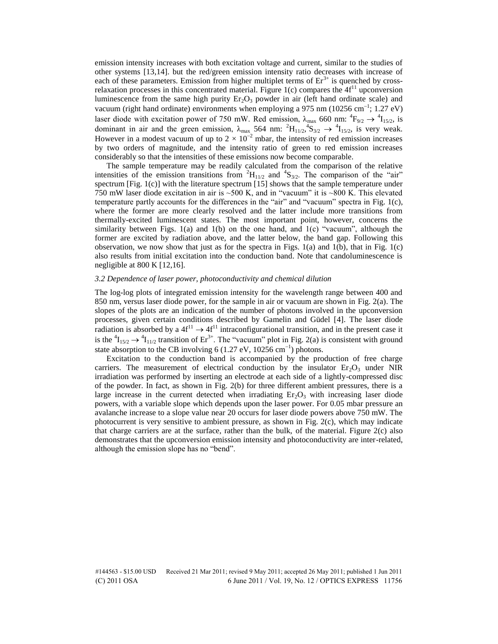emission intensity increases with both excitation voltage and current, similar to the studies of other systems [13,14]. but the red/green emission intensity ratio decreases with increase of each of these parameters. Emission from higher multiplet terms of  $Er<sup>3+</sup>$  is quenched by crossrelaxation processes in this concentrated material. Figure 1(c) compares the  $4f<sup>11</sup>$  upconversion luminescence from the same high purity  $Er_2O_3$  powder in air (left hand ordinate scale) and vacuum (right hand ordinate) environments when employing a 975 nm (10256 cm<sup>-1</sup>; 1.27 eV) laser diode with excitation power of 750 mW. Red emission,  $\lambda_{\text{max}}$  660 nm:  ${}^4F_{9/2} \rightarrow {}^4I_{15/2}$ , is dominant in air and the green emission,  $\lambda_{\text{max}}$  564 nm:  ${}^{2}H_{11/2}$ ,  ${}^{4}S_{3/2}$   $\rightarrow$   ${}^{4}I_{15/2}$ , is very weak. However in a modest vacuum of up to  $2 \times 10^{-2}$  mbar, the intensity of red emission increases by two orders of magnitude, and the intensity ratio of green to red emission increases considerably so that the intensities of these emissions now become comparable.

The sample temperature may be readily calculated from the comparison of the relative intensities of the emission transitions from  ${}^{2}H_{11/2}$  and  ${}^{4}S_{3/2}$ . The comparison of the "air" spectrum [Fig. 1(c)] with the literature spectrum [15] shows that the sample temperature under 750 mW laser diode excitation in air is ~500 K, and in "vacuum" it is ~800 K. This elevated temperature partly accounts for the differences in the "air" and "vacuum" spectra in Fig. 1(c), where the former are more clearly resolved and the latter include more transitions from thermally-excited luminescent states. The most important point, however, concerns the similarity between Figs.  $1(a)$  and  $1(b)$  on the one hand, and  $1(c)$  "vacuum", although the former are excited by radiation above, and the latter below, the band gap. Following this observation, we now show that just as for the spectra in Figs.  $1(a)$  and  $1(b)$ , that in Fig.  $1(c)$ also results from initial excitation into the conduction band. Note that candoluminescence is negligible at 800 K [12,16].

#### *3.2 Dependence of laser power, photoconductivity and chemical dilution*

The log-log plots of integrated emission intensity for the wavelength range between 400 and 850 nm, versus laser diode power, for the sample in air or vacuum are shown in Fig. 2(a). The slopes of the plots are an indication of the number of photons involved in the upconversion processes, given certain conditions described by Gamelin and Güdel [4]. The laser diode radiation is absorbed by a  $4f^{11} \rightarrow 4f^{11}$  intraconfigurational transition, and in the present case it is the  ${}^4I_{15/2}$   $\rightarrow$   ${}^4I_{11/2}$  transition of Er<sup>3+</sup>. The "vacuum" plot in Fig. 2(a) is consistent with ground state absorption to the CB involving 6 (1.27 eV, 10256 cm<sup>-1</sup>) photons.

Excitation to the conduction band is accompanied by the production of free charge carriers. The measurement of electrical conduction by the insulator  $Er_2O_3$  under NIR irradiation was performed by inserting an electrode at each side of a lightly-compressed disc of the powder. In fact, as shown in Fig. 2(b) for three different ambient pressures, there is a large increase in the current detected when irradiating  $Er_2O_3$  with increasing laser diode powers, with a variable slope which depends upon the laser power. For 0.05 mbar pressure an avalanche increase to a slope value near 20 occurs for laser diode powers above 750 mW. The photocurrent is very sensitive to ambient pressure, as shown in Fig. 2(c), which may indicate that charge carriers are at the surface, rather than the bulk, of the material. Figure 2(c) also demonstrates that the upconversion emission intensity and photoconductivity are inter-related, although the emission slope has no "bend".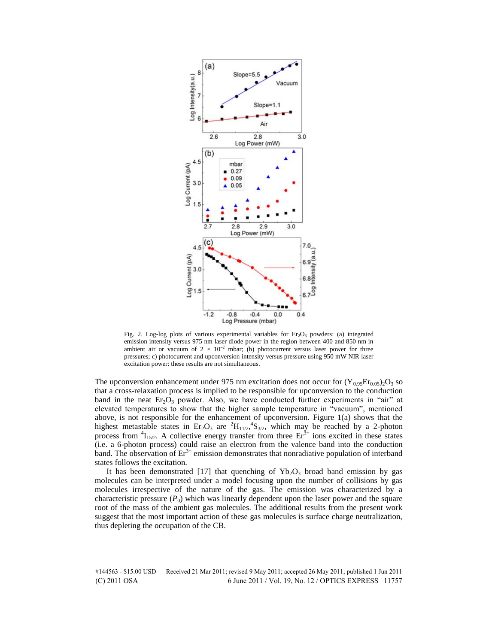

Fig. 2. Log-log plots of various experimental variables for  $Er<sub>2</sub>O<sub>3</sub>$  powders: (a) integrated emission intensity versus 975 nm laser diode power in the region between 400 and 850 nm in ambient air or vacuum of  $2 \times 10^{-2}$  mbar; (b) photocurrent versus laser power for three pressures; c) photocurrent and upconversion intensity versus pressure using 950 mW NIR laser excitation power: these results are not simultaneous.

The upconversion enhancement under 975 nm excitation does not occur for  $(Y_{0.95}E_{0.05})_2O_3$  so that a cross-relaxation process is implied to be responsible for upconversion to the conduction band in the neat  $Er_2O_3$  powder. Also, we have conducted further experiments in "air" at elevated temperatures to show that the higher sample temperature in "vacuum", mentioned above, is not responsible for the enhancement of upconversion. Figure 1(a) shows that the highest metastable states in  $Er_2O_3$  are  ${}^2H_{11/2}$ ,  ${}^4S_{3/2}$ , which may be reached by a 2-photon process from  ${}^{4}I_{15/2}$ . A collective energy transfer from three  $Er^{3+}$  ions excited in these states (i.e. a 6-photon process) could raise an electron from the valence band into the conduction band. The observation of  $Er<sup>3+</sup>$  emission demonstrates that nonradiative population of interband states follows the excitation.

It has been demonstrated [17] that quenching of  $Yb_2O_3$  broad band emission by gas molecules can be interpreted under a model focusing upon the number of collisions by gas molecules irrespective of the nature of the gas. The emission was characterized by a characteristic pressure  $(P_0)$  which was linearly dependent upon the laser power and the square root of the mass of the ambient gas molecules. The additional results from the present work suggest that the most important action of these gas molecules is surface charge neutralization, thus depleting the occupation of the CB.